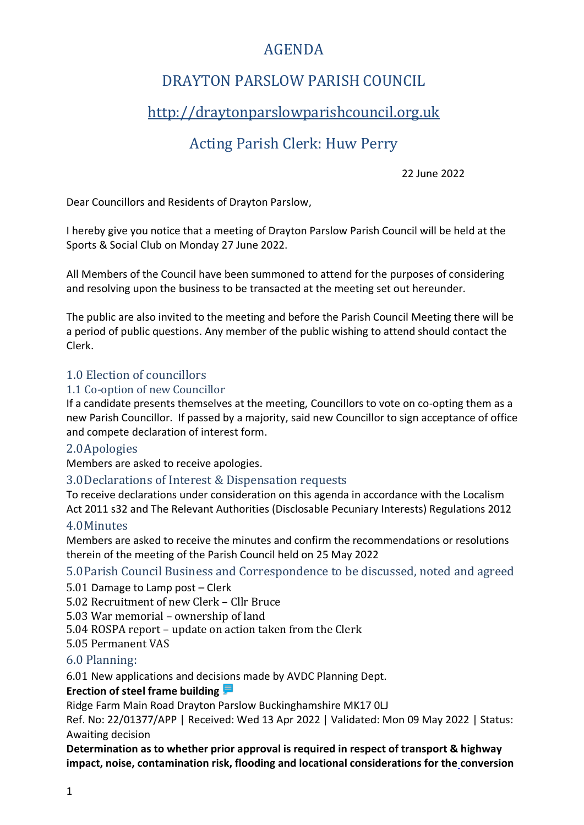# AGENDA

# DRAYTON PARSLOW PARISH COUNCIL

# [http://draytonparslowparishcouncil.org.uk](http://draytonparslowparishcouncil.org.uk/)

# Acting Parish Clerk: Huw Perry

22 June 2022

Dear Councillors and Residents of Drayton Parslow,

I hereby give you notice that a meeting of Drayton Parslow Parish Council will be held at the Sports & Social Club on Monday 27 June 2022.

All Members of the Council have been summoned to attend for the purposes of considering and resolving upon the business to be transacted at the meeting set out hereunder.

The public are also invited to the meeting and before the Parish Council Meeting there will be a period of public questions. Any member of the public wishing to attend should contact the Clerk.

### 1.0 Election of councillors

#### 1.1 Co-option of new Councillor

If a candidate presents themselves at the meeting, Councillors to vote on co-opting them as a new Parish Councillor. If passed by a majority, said new Councillor to sign acceptance of office and compete declaration of interest form.

### 2.0Apologies

Members are asked to receive apologies.

### 3.0Declarations of Interest & Dispensation requests

To receive declarations under consideration on this agenda in accordance with the Localism Act 2011 s32 and The Relevant Authorities (Disclosable Pecuniary Interests) Regulations 2012

### 4.0Minutes

Members are asked to receive the minutes and confirm the recommendations or resolutions therein of the meeting of the Parish Council held on 25 May 2022

### 5.0Parish Council Business and Correspondence to be discussed, noted and agreed

5.01 Damage to Lamp post – Clerk

5.02 Recruitment of new Clerk – Cllr Bruce

5.03 War memorial – ownership of land

5.04 ROSPA report – update on action taken from the Clerk

5.05 Permanent VAS

### 6.0 Planning:

6.01 New applications and decisions made by AVDC Planning Dept.

#### **Erection of steel frame building**

Ridge Farm Main Road Drayton Parslow Buckinghamshire MK17 0LJ

Ref. No: 22/01377/APP | Received: Wed 13 Apr 2022 | Validated: Mon 09 May 2022 | Status: Awaiting decision

**[Determination as to whether prior approval is required in respect of transport & highway](https://publicaccess.aylesburyvaledc.gov.uk/online-applications/applicationDetails.do?keyVal=RA7UZTCL0UN00&activeTab=summary)  [impact, noise, contamination risk, flooding and locational considerations for the](https://publicaccess.aylesburyvaledc.gov.uk/online-applications/applicationDetails.do?keyVal=RA7UZTCL0UN00&activeTab=summary) conversion**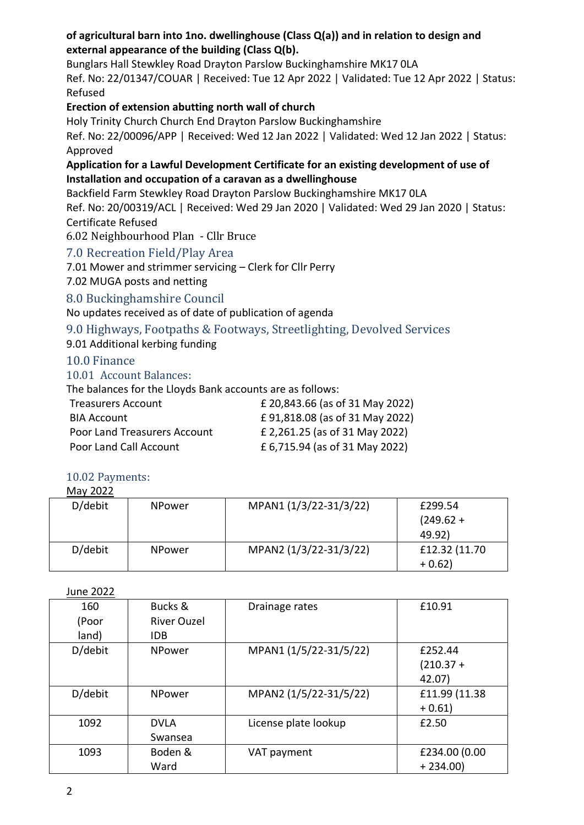### **[of agricultural barn into 1no. dwellinghouse \(Class Q\(a\)\) and in relation to design and](https://publicaccess.aylesburyvaledc.gov.uk/online-applications/applicationDetails.do?keyVal=RA7UZTCL0UN00&activeTab=summary)  [external appearance of the building \(Class Q\(b\).](https://publicaccess.aylesburyvaledc.gov.uk/online-applications/applicationDetails.do?keyVal=RA7UZTCL0UN00&activeTab=summary)**

Bunglars Hall Stewkley Road Drayton Parslow Buckinghamshire MK17 0LA

Ref. No: 22/01347/COUAR | Received: Tue 12 Apr 2022 | Validated: Tue 12 Apr 2022 | Status: Refused

**[Erection of extension abutting north wall of church](https://publicaccess.aylesburyvaledc.gov.uk/online-applications/applicationDetails.do?keyVal=R5LK9ACLLA500&activeTab=summary)**

Holy Trinity Church Church End Drayton Parslow Buckinghamshire

Ref. No: 22/00096/APP | Received: Wed 12 Jan 2022 | Validated: Wed 12 Jan 2022 | Status: Approved

### **Application for a Lawful Development Certificate for an existing development of use of Installation and occupation of a caravan as a dwellinghouse**

Backfield Farm Stewkley Road Drayton Parslow Buckinghamshire MK17 0LA

Ref. No: 20/00319/ACL | Received: Wed 29 Jan 2020 | Validated: Wed 29 Jan 2020 | Status: Certificate Refused

6.02 Neighbourhood Plan - Cllr Bruce

## 7.0 Recreation Field/Play Area

7.01 Mower and strimmer servicing – Clerk for Cllr Perry

7.02 MUGA posts and netting

## 8.0 Buckinghamshire Council

No updates received as of date of publication of agenda

# 9.0 Highways, Footpaths & Footways, Streetlighting, Devolved Services

9.01 Additional kerbing funding

## 10.0 Finance

10.01 Account Balances:

The balances for the Lloyds Bank accounts are as follows:

| <b>Treasurers Account</b>           | £ 20,843.66 (as of 31 May 2022) |
|-------------------------------------|---------------------------------|
| <b>BIA Account</b>                  | £91,818.08 (as of 31 May 2022)  |
| <b>Poor Land Treasurers Account</b> | £ 2,261.25 (as of 31 May 2022)  |
| Poor Land Call Account              | £ 6,715.94 (as of 31 May 2022)  |
|                                     |                                 |

#### 10.02 Payments:  $M = 2022$

| MIAV ZUZZ |               |                        |               |
|-----------|---------------|------------------------|---------------|
| D/debit   | <b>NPower</b> | MPAN1 (1/3/22-31/3/22) | £299.54       |
|           |               |                        | $(249.62 +$   |
|           |               |                        | 49.92)        |
| D/debit   | <b>NPower</b> | MPAN2 (1/3/22-31/3/22) | £12.32 (11.70 |
|           |               |                        | $+0.62$       |

June 2022

| 160<br>(Poor<br>land) | Bucks &<br><b>River Ouzel</b><br>IDB. | Drainage rates         | £10.91                           |
|-----------------------|---------------------------------------|------------------------|----------------------------------|
| D/debit               | <b>NPower</b>                         | MPAN1 (1/5/22-31/5/22) | £252.44<br>$(210.37 +$<br>42.07) |
| D/debit               | <b>NPower</b>                         | MPAN2 (1/5/22-31/5/22) | £11.99 (11.38)<br>$+0.61$        |
| 1092                  | <b>DVLA</b><br>Swansea                | License plate lookup   | £2.50                            |
| 1093                  | Boden &<br>Ward                       | VAT payment            | £234.00 (0.00<br>$+234.00$       |